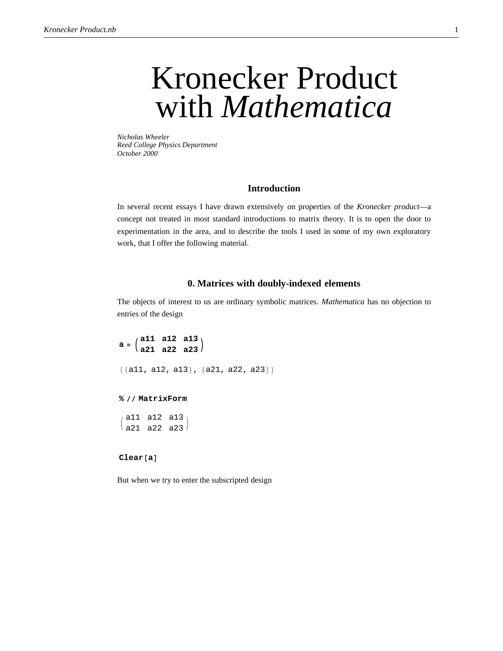# Kronecker Product with *Mathematica*

*Nicholas Wheeler Reed College Physics Department October 2000*

## **Introduction**

In several recent essays I have drawn extensively on properties of the *Kronecker product*—a concept not treated in most standard introductions to matrix theory. It is to open the door to experimentation in the area, and to describe the tools I used in some of my own exploratory work, that I offer the following material.

## **0. Matrices with doubly-indexed elements**

The objects of interest to us are ordinary symbolic matrices. *Mathematica* has no objection to entries of the design

 $a = \begin{pmatrix} a11 & a12 & a13 \\ a21 & a22 & a23 \end{pmatrix}$  $\{\{a11, a12, a13\}, \{a21, a22, a23\}\}\$ 

#### **% êê MatrixForm**

 $/$  all all all  $\sqrt{a21}$  a22 a23.

#### $\text{Clear}[a]$

But when we try to enter the subscripted design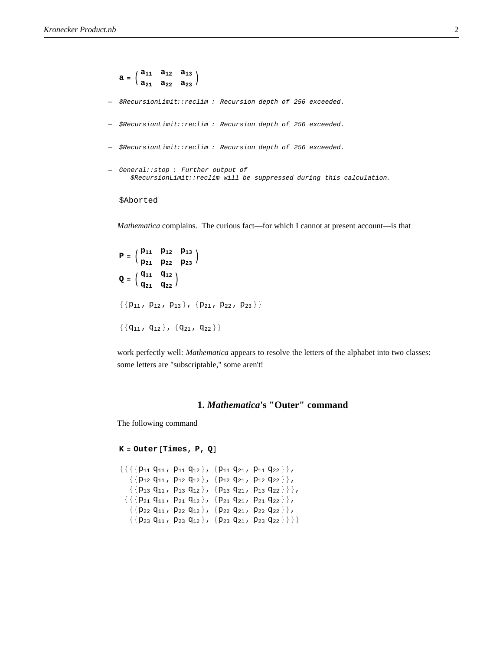```
\mathbf{a} = \begin{pmatrix} a_{11} & a_{12} & a_{13} \\ a_{21} & a_{22} & a_{23} \end{pmatrix}— $RecursionLimit::reclim : Recursion depth of 256 exceeded.
— $RecursionLimit::reclim : Recursion depth of 256 exceeded.
— $RecursionLimit::reclim : Recursion depth of 256 exceeded.
— General::stop : Further output of
       $RecursionLimit::reclim will be suppressed during this calculation.
```
# \$Aborted

*Mathematica* complains. The curious fact—for which I cannot at present account—is that

```
P = \begin{pmatrix} P_{11} & P_{12} & P_{13} \\ P_{21} & P_{22} & P_{23} \end{pmatrix}Q = \begin{pmatrix} q_{11} & q_{12} \\ q_{21} & q_{22} \end{pmatrix}\{\{p_{11}, p_{12}, p_{13}\}, \{p_{21}, p_{22}, p_{23}\}\}\\{\{q_{11}, q_{12}\}, \{q_{21}, q_{22}\}\}\
```
work perfectly well: *Mathematica* appears to resolve the letters of the alphabet into two classes: some letters are "subscriptable," some aren't!

# **1.** *Mathematica***'s "Outer" command**

The following command

```
K = Outer[Times, P, Q]
```

```
\{\{\{\{p_{11}\ q_{11}\ ,\ p_{11}\ q_{12}\} \ ,\ \{p_{11}\ q_{21}\ ,\ p_{11}\ q_{22}\}\} ,
    \{ \{p_{12} q_{11} , p_{12} q_{12} \}, \{p_{12} q_{21} , p_{12} q_{22} \} \},\{ \{p_{13} q_{11}, p_{13} q_{12} \}, \{p_{13} q_{21}, p_{13} q_{22} \} \},
  \{\{\{p_{21}\ q_{11} , p_{21}\ q_{12}\} , \{p_{21}\ q_{21} , p_{21}\ q_{22}\}\} ,
    \{\{p_{22}\ q_{11} , p_{22}\ q_{12}\} , \{p_{22}\ q_{21} , p_{22}\ q_{22}\} ,
    \{ \{p_{23} q_{11}, p_{23} q_{12} \}, \{p_{23} q_{21}, p_{23} q_{22} \} \}
```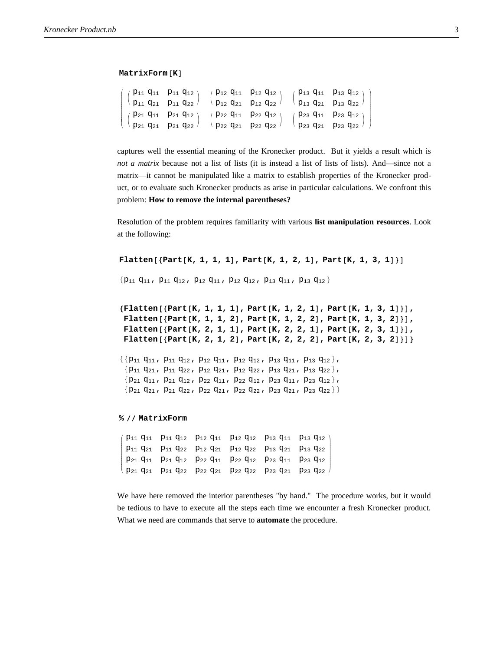#### $MatrixForm[K]$

| $\left(\begin{array}{cc} \left(\begin{array}{cc} p_{11} & q_{11} & p_{11} & q_{12} \\ p_{11} & q_{21} & p_{11} & q_{22} \end{array}\right) & \left(\begin{array}{cc} p_{12} & q_{11} & p_{12} & q_{12} \\ p_{12} & q_{21} & p_{12} & q_{22} \end{array}\right) & \left(\begin{array}{cc} p_{13} & q_{11} & p_{13} & q_{12} \\ p_{13} & q_{21} & p_{13} & q_{22} \end{array}\right) \end{array}\right)$ |  |  |  |
|--------------------------------------------------------------------------------------------------------------------------------------------------------------------------------------------------------------------------------------------------------------------------------------------------------------------------------------------------------------------------------------------------------|--|--|--|
|                                                                                                                                                                                                                                                                                                                                                                                                        |  |  |  |
| $ $ $ $ $ $ $P_{21}$ $q_{11}$ $p_{21}$ $q_{12}$ $ $ $ $ $P_{22}$ $q_{11}$ $p_{22}$ $q_{12}$ $ $ $ $ $P_{23}$ $q_{11}$ $p_{23}$ $q_{12}$ $ $                                                                                                                                                                                                                                                            |  |  |  |
| $(\vert p_{21} q_{21} p_{21} q_{22} \vert \vert p_{22} q_{21} p_{22} q_{22} \vert \vert p_{23} q_{21} p_{23} q_{22} \vert)$                                                                                                                                                                                                                                                                            |  |  |  |

captures well the essential meaning of the Kronecker product. But it yields a result which is *not a matrix* because not a list of lists (it is instead a list of lists of lists). And—since not a matrix—it cannot be manipulated like a matrix to establish properties of the Kronecker product, or to evaluate such Kronecker products as arise in particular calculations. We confront this problem: **How to remove the internal parentheses?**

Resolution of the problem requires familiarity with various **list manipulation resources**. Look at the following:

```
Flatten[{Part[K, 1, 1, 1], Part[K, 1, 2, 1], Part[K, 1, 3, 1]}]
```
 ${p_{11}}$  q<sub>11</sub>, p<sub>11</sub> q<sub>12</sub>, p<sub>12</sub> q<sub>11</sub>, p<sub>12</sub> q<sub>12</sub>, p<sub>13</sub> q<sub>11</sub>, p<sub>13</sub> q<sub>12</sub>}

```
8Flatten@8Part@K, 1, 1, 1D, Part@K, 1, 2, 1D, Part@K, 1, 3, 1D<D,
Flatten[{Part[K, 1, 1, 2], Part[K, 1, 2, 2], Part[K, 1, 3, 2]}],
Flatten[{Part[K, 2, 1, 1], Part[K, 2, 2, 1], Part[K, 2, 3, 1]}],
Flatten[{Part[K, 2, 1, 2], Part[K, 2, 2, 2], Part[K, 2, 3, 2]}]}
```

```
\{ \{p_{11} q_{11}, p_{11} q_{12}, p_{12} q_{11}, p_{12} q_{12}, p_{13} q_{11}, p_{13} q_{12} \},
 {p_{11} q_{21}, p_{11} q_{22}, p_{12} q_{21}, p_{12} q_{22}, p_{13} q_{21}, p_{13} q_{22},
 {p_{21}} q<sub>11</sub>, {p_{21}} q<sub>12</sub>, {p_{22}} q<sub>11</sub>, {p_{22}} q<sub>12</sub>, {p_{23}} q<sub>11</sub>, {p_{23}} q<sub>12</sub>},
 \{p_{21} q_{21}, p_{21} q_{22}, p_{22} q_{21}, p_{22} q_{22}, p_{23} q_{21}, p_{23} q_{22} \}
```
#### **% êê MatrixForm**

i k p21 q21 p21 q22 p22 q21 p22 q22 p23 q21 p23 q22 jjjjjjjjjjjj p11 q11 p11 q12 p12 q11 p12 q12 p13 q11 p13 q12 p11 q21 p11 q22 p12 q21 p12 q22 p13 q21 p13 q22 p21 q11 p21 q12 p22 q11 p22 q12 p23 q11 p23 q12  $\mathcal{L}$  $\overline{a}$  $\overline{a}$ 

We have here removed the interior parentheses "by hand." The procedure works, but it would be tedious to have to execute all the steps each time we encounter a fresh Kronecker product. What we need are commands that serve to **automate** the procedure.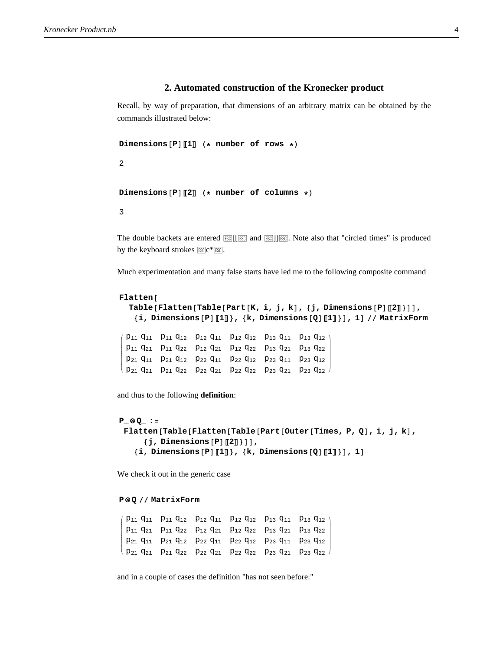# **2. Automated construction of the Kronecker product**

Recall, by way of preparation, that dimensions of an arbitrary matrix can be obtained by the commands illustrated below:

```
Dimensions [P] \llbracket 1 \rrbracket (* number of rows *)
```
2

```
Dimensions [P] [2] (* number of columns *)
```
3

The double backets are entered  $\mathbb{E}\mathbb{E}[[\mathbb{E}\mathbb{E}]]$  and  $\mathbb{E}\mathbb{E}[[\mathbb{E}\mathbb{E}]]$ . Note also that "circled times" is produced by the keyboard strokes  $ESC*ESC$ .

Much experimentation and many false starts have led me to the following composite command

```
Flatten@
  Table@Flatten@Table@Part@K, i, j, kD, 8j, Dimensions@PDP2T<DD,
   8i, Dimensions@PDP1T<, 8k, Dimensions@QDP1T<D, 1D êê MatrixForm
i
jjjjjjjjjjjj
 p11 q11 p11 q12 p12 q11 p12 q12 p13 q11 p13 q12
 p11 q21 p11 q22 p12 q21 p12 q22 p13 q21 p13 q22
 p21 q11 p21 q12 p22 q11 p22 q12 p23 q11 p23 q12
                                                     \mathcal{L}\overline{a}
```
 $\frac{1}{2}$ 

and thus to the following **definition**:

```
P_ ≈ Q_ :=
 Flatten@Table@Flatten@Table@Part@Outer@Times, P, QD, i, j, kD,
      {j, \text{Dimensions} [P][2]}\{i, \text{Dimensions} [P] [\![1]\!], \{k, \text{Dimensions} [Q] [\![1]\!], \}, 1]
```
We check it out in the generic case

#### **P ≈ Q êê MatrixForm**

i k jjjjjjjjjjjj p11 q11 p11 q12 p12 q11 p12 q12 p13 q11 p13 q12 p11 q21 p11 q22 p12 q21 p12 q22 p13 q21 p13 q22 p21 q11 p21 q12 p22 q11 p22 q12 p23 q11 p23 q12 p21 q21 p21 q22 p22 q21 p22 q22 p23 q21 p23 q22  $\mathbf{r}$  $\overline{a}$  $\overline{a}$ 

k p21 q21 p21 q22 p22 q21 p22 q22 p23 q21 p23 q22

and in a couple of cases the definition "has not seen before:"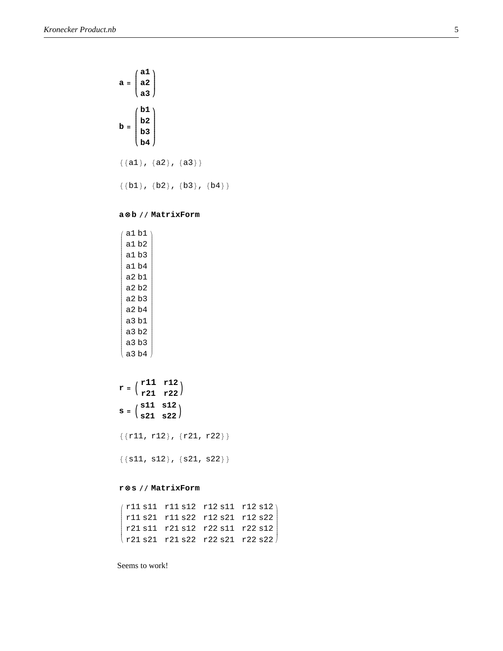$$
a = \begin{pmatrix} a1 \\ a2 \\ a3 \end{pmatrix}
$$
  

$$
b = \begin{pmatrix} b1 \\ b2 \\ b3 \\ b4 \end{pmatrix}
$$
  

$$
\{\{a1\}, \{a2\}, \{a3\}\}\
$$
  

$$
\{\{b1\}, \{b2\}, \{b3\}, \{b4\}\}
$$

# **a ≈ b êê MatrixForm**

| a1 b1 |      |  |
|-------|------|--|
| a1b2  |      |  |
| a1 b3 |      |  |
| a1 b4 |      |  |
| a2 b1 |      |  |
| a2 b2 |      |  |
| a2 b3 |      |  |
| a2 b4 |      |  |
| a3 b1 |      |  |
| a3 b2 |      |  |
| a3 b3 |      |  |
|       | a3b4 |  |

| $\mathbf{r} = \begin{pmatrix} r11 & r12 \\ r21 & r22 \end{pmatrix}$                                                  |  |
|----------------------------------------------------------------------------------------------------------------------|--|
| $\mathbf{s} = \left(\begin{array}{cc} \mathtt{s11} & \mathtt{s12} \\ \mathtt{s21} & \mathtt{s22} \end{array}\right)$ |  |

 $\{r11, r12\}, \{r21, r22\}\}$ 

 $\{\{\verb|sl1|, \verb|sl2|, \{\verb|sl21, \verb|sl2|\}\}$ 

# **r ≈ s êê MatrixForm**

```
\left| \begin{array}{c} \end{array} \right|r11 s11 r11 s12 r12 s11 r12 s12
r11 s21 r11 s22 r12 s21 r12 s22
r21 s11 r21 s12 r22 s11 r22 s12
\vert r21 s21 r21 s22 r22 s21 r22 s22
                                            \int
```
Seems to work!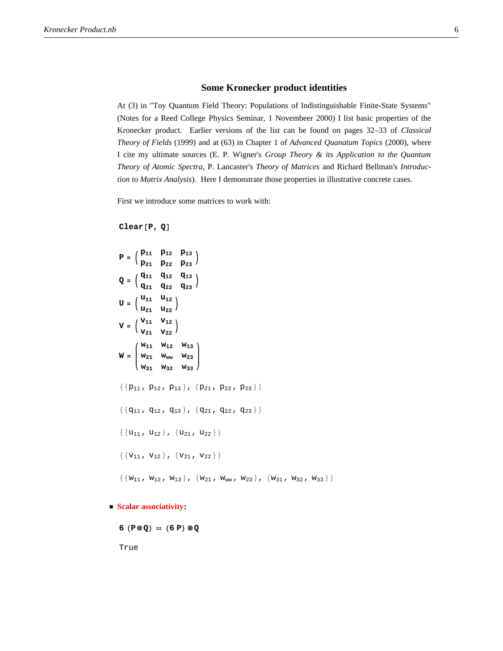# **Some Kronecker product identities**

At (3) in "Toy Quantum Field Theory: Populations of Indistinguishable Finite-State Systems" (Notes for a Reed College Physics Seminar, 1 Novembeer 2000) I list basic properties of the Kronecker product. Earlier versions of the list can be found on pages 32–33 of *Classical Theory of Fields* (1999) and at (63) in Chapter 1 of *Advanced Quanatum Topics* (2000), where I cite my ultimate sources (E. P. Wigner's *Group Theory & its Application to the Quantum Theory of Atomic Spectra*, P. Lancaster's *Theory of Matrices* and Richard Bellman's *Introduction to Matrix Analysis*). Here I demonstrate those properties in illustrative concrete cases.

First we introduce some matrices to work with:

#### **Clear**<sup>[P, Q]</sup>

$$
P = \begin{pmatrix} P_{11} & P_{12} & P_{13} \\ P_{21} & P_{22} & P_{23} \end{pmatrix}
$$
  
\n
$$
Q = \begin{pmatrix} q_{11} & q_{12} & q_{13} \\ q_{21} & q_{22} & q_{23} \end{pmatrix}
$$
  
\n
$$
U = \begin{pmatrix} u_{11} & u_{12} \\ u_{21} & u_{22} \end{pmatrix}
$$
  
\n
$$
V = \begin{pmatrix} v_{11} & v_{12} \\ v_{21} & v_{22} \end{pmatrix}
$$
  
\n
$$
W = \begin{pmatrix} w_{11} & w_{12} & w_{13} \\ w_{21} & w_{ww} & w_{23} \\ w_{31} & w_{32} & w_{33} \end{pmatrix}
$$
  
\n
$$
\{ \{ p_{11}, p_{12}, p_{13} \}, \{ p_{21}, p_{22}, p_{23} \} \}
$$
  
\n
$$
\{ \{ q_{11}, q_{12}, q_{13} \}, \{ q_{21}, q_{22}, q_{23} \} \}
$$
  
\n
$$
\{ \{ u_{11}, u_{12} \}, \{ u_{21}, u_{22} \} \}
$$
  
\n
$$
\{ \{ v_{11}, v_{12} \}, \{ v_{21}, v_{22} \} \}
$$

 $\{\{w_{11} \; , \; w_{12} \; , \; w_{13}\} \; , \; \{w_{21} \; , \; w_{ww} \; , \; w_{23}\} \; , \; \{w_{31} \; , \; w_{32} \; , \; w_{33}\} \}$ 

**ü Scalar associativity:**

$$
6 (P \otimes Q) = (6 P) \otimes Q
$$

True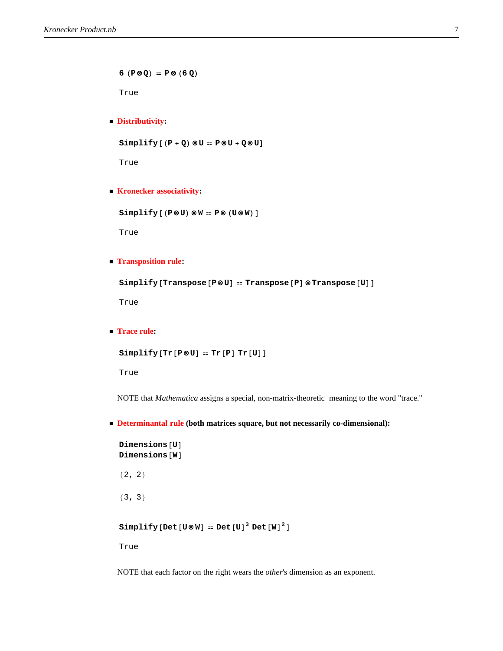$6 (P \otimes Q) = P \otimes (6 Q)$ 

True

## **ü Distributivity:**

 $Simplify$   $[P + Q)$   $@U = P@U + Q@U$ 

True

**ü Kronecker associativity:**

 $Simplify [ (P@U) @W = P@ (U@W) ]$ 

True

**ü Transposition rule:**

**Simplify**<sup>[Transpose<sup>[P@U]</sup> = Transpose<sup>[P]</sup> @Transpose<sup>[U]</sup>]</sup>

True

**ü Trace rule:**

```
Simplify[Tr[P@U] = Tr[P] Tr[U]
```
True

NOTE that *Mathematica* assigns a special, non-matrix-theoretic meaning to the word "trace."

**ü Determinantal rule (both matrices square, but not necessarily co-dimensional):**

```
Dimensions [U]
Dimensions [W]
{2, 2}{3, 3}
```

```
Simplify[Det[U\otimes W] = Det[U]<sup>3</sup> Det[W]^2
```
True

NOTE that each factor on the right wears the *other*'s dimension as an exponent.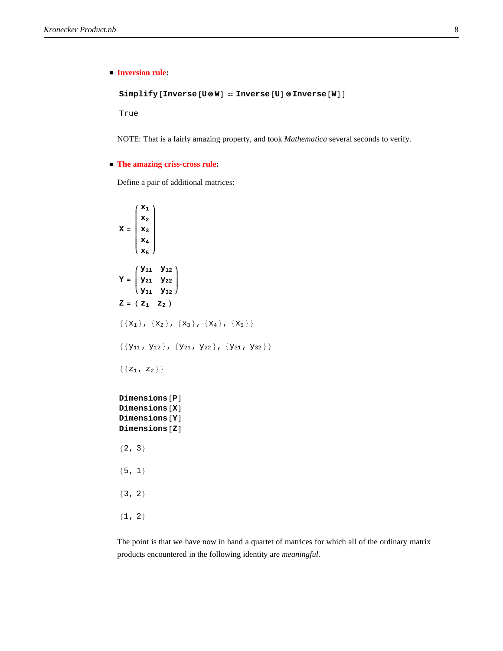# **ü Inversion rule:**

 $Simplify[Inverse[UBW] = Three$  **Inverse**<sup>[U] @</sup> **Inverse**<sup>[W]</sup>

True

NOTE: That is a fairly amazing property, and took *Mathematica* several seconds to verify.

#### **ü The amazing criss-cross rule:**

Define a pair of additional matrices:

```
X = \mathbf{x}_3i
       k
       \sqrt{\frac{1}{2}}x1
         x<sub>2</sub>
         x4
         x5
               \mathbf{r}{
               zzzzzzzzzzzzzzzzz
\mathbf{Y} = \begin{bmatrix} x_{11} & x_{12} \\ x_{21} & y_{22} \\ y_{21} & y_{22} \end{bmatrix}k
y31 y32
          y11 y12
y
                         {
                         \sqrt{2}Z = (Z_1 \t Z_2)\{x_1\}, \{x_2\}, \{x_3\}, \{x_4\}, \{x_5\}\{\{y_{11}, y_{12}\}, \{y_{21}, y_{22}\}, \{y_{31}, y_{32}\}\}\\{ \{ z_1, z_2 \} \}Dimensions [P]
Dimensions [X]
Dimensions [Y]
Dimensions [Z]
{2, 3}{5, 1}{3, 2}{1, 2}
```
The point is that we have now in hand a quartet of matrices for which all of the ordinary matrix products encountered in the following identity are *meaningful*.